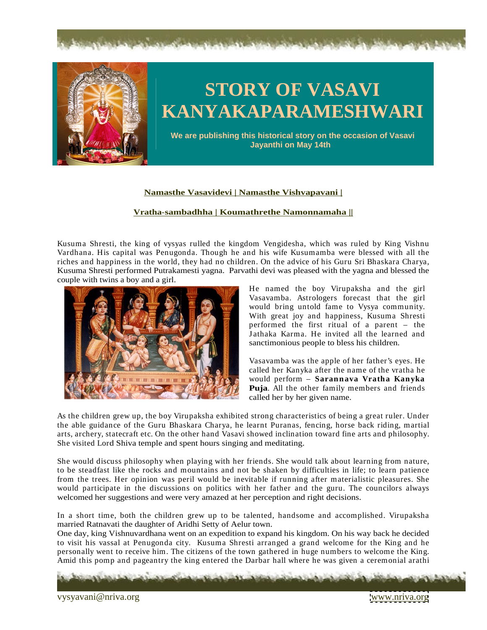



## **STORY OF VASAVI KANYAKAPARAMESHWARI**

**We are publishing this historical story on the occasion of Vasavi Jayanthi on May 14th**

## **Namasthe Vasavidevi | Namasthe Vishvapavani |**

## **Vratha-sambadhha | Koumathrethe Namonnamaha ||**

Kusuma Shresti, the king of vysyas rulled the kingdom Vengidesha, which was ruled by King Vishnu Vardhana. His capital was Penugonda. Though he and his wife Kusumamba were blessed with all the riches and happiness in the world, they had no children. On the advice of his Guru Sri Bhaskara Charya, Kusuma Shresti performed Putrakamesti yagna. Parvathi devi was pleased with the yagna and blessed the couple with twins a boy and a girl.



He named the boy Virupaksha and the girl Vasavamba. Astrologers forecast that the girl would bring untold fame to Vysya community. With great joy and happiness, Kusuma Shresti performed the first ritual of a parent – the J athaka Karma. He invited all the learned and sanctimonious people to bless his children.

Vasavamba was the apple of her father's eyes. He called her Kanyka after the name of the vratha he would perform – **Sarannava Vratha Kanyka Puja**. All the other family members and friends called her by her given name.

As the children grew up, the boy Virupaksha exhibited strong characteristics of being a great ruler. Under the able guidance of the Guru Bhaskara Charya, he learnt Puranas, fencing, horse back riding,martial arts, archery, statecraft etc. On the other hand Vasavi showed inclination toward fine arts and philosophy. She visited Lord Shiva temple and spent hours singing and meditating.

She would discuss philosophy when playing with her friends. She would talk about learning from nature, to be steadfast like the rocks and mountains and not be shaken by difficulties in life; to learn patience from the trees. Her opinion was peril would be inevitable if running after materialistic pleasures. She would participate in the discussions on politics with her father and the guru. The councilors always welcomed her suggestions and were very amazed at her perception and right decisions.

In a short time, both the children grew up to be talented, handsome and accomplished. Virupaksha married Ratnavati the daughter of Aridhi Setty of Aelur town.

One day, king Vishnuvardhana went on an expedition to expand his kingdom. On his way back he decided to visit his vassal at Penugonda city. Kusuma Shresti arranged a grand welcome for the King and he personally went to receive him. The citizens of the town gathered in huge numbers to welcome the King. Amid this pomp and pageantry the king entered the Darbar hall where he was given a ceremonial arathi

vysyavani@nriva.org Page 6 of 41 [www.nriva.org](http://www.nriva.org)